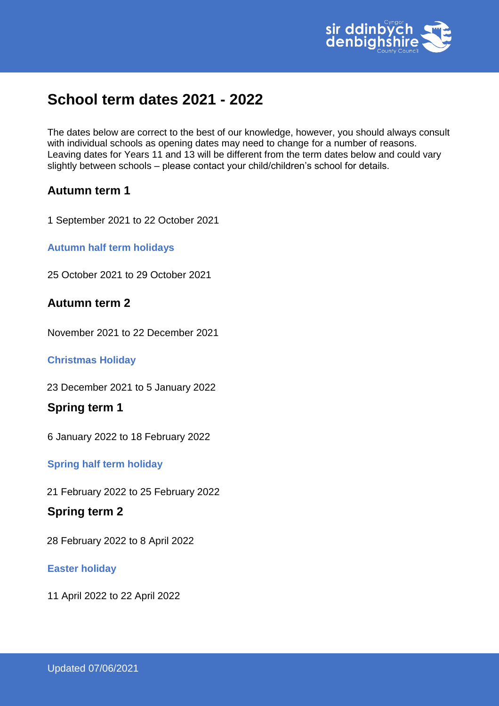

# **School term dates 2021 - 2022**

The dates below are correct to the best of our knowledge, however, you should always consult with individual schools as opening dates may need to change for a number of reasons. Leaving dates for Years 11 and 13 will be different from the term dates below and could vary slightly between schools – please contact your child/children's school for details.

## **Autumn term 1**

1 September 2021 to 22 October 2021

**Autumn half term holidays** 

25 October 2021 to 29 October 2021

## **Autumn term 2**

November 2021 to 22 December 2021

### **Christmas Holiday**

23 December 2021 to 5 January 2022

## **Spring term 1**

6 January 2022 to 18 February 2022

**Spring half term holiday** 

21 February 2022 to 25 February 2022

## **Spring term 2**

28 February 2022 to 8 April 2022

### **Easter holiday**

11 April 2022 to 22 April 2022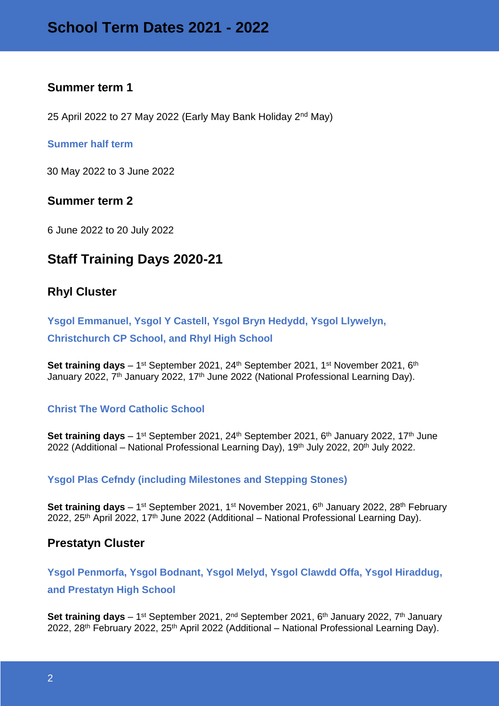## **Summer term 1**

25 April 2022 to 27 May 2022 (Early May Bank Holiday 2<sup>nd</sup> May)

### **Summer half term**

30 May 2022 to 3 June 2022

## **Summer term 2**

6 June 2022 to 20 July 2022

## **Staff Training Days 2020-21**

## **Rhyl Cluster**

**Ysgol Emmanuel, Ysgol Y Castell, Ysgol Bryn Hedydd, Ysgol Llywelyn, Christchurch CP School, and Rhyl High School** 

**Set training days** – 1<sup>st</sup> September 2021, 24<sup>th</sup> September 2021, 1<sup>st</sup> November 2021, 6<sup>th</sup> January 2022, 7<sup>th</sup> January 2022, 17<sup>th</sup> June 2022 (National Professional Learning Day).

### **Christ The Word Catholic School**

**Set training days** – 1<sup>st</sup> September 2021, 24<sup>th</sup> September 2021, 6<sup>th</sup> January 2022, 17<sup>th</sup> June 2022 (Additional – National Professional Learning Day), 19<sup>th</sup> July 2022, 20<sup>th</sup> July 2022.

### **Ysgol Plas Cefndy (including Milestones and Stepping Stones)**

**Set training days** – 1<sup>st</sup> September 2021, 1<sup>st</sup> November 2021, 6<sup>th</sup> January 2022, 28<sup>th</sup> February 2022, 25<sup>th</sup> April 2022, 17<sup>th</sup> June 2022 (Additional – National Professional Learning Day).

## **Prestatyn Cluster**

**Ysgol Penmorfa, Ysgol Bodnant, Ysgol Melyd, Ysgol Clawdd Offa, Ysgol Hiraddug, and Prestatyn High School**

Set training days – 1<sup>st</sup> September 2021, 2<sup>nd</sup> September 2021, 6<sup>th</sup> January 2022, 7<sup>th</sup> January 2022, 28<sup>th</sup> February 2022, 25<sup>th</sup> April 2022 (Additional – National Professional Learning Day).